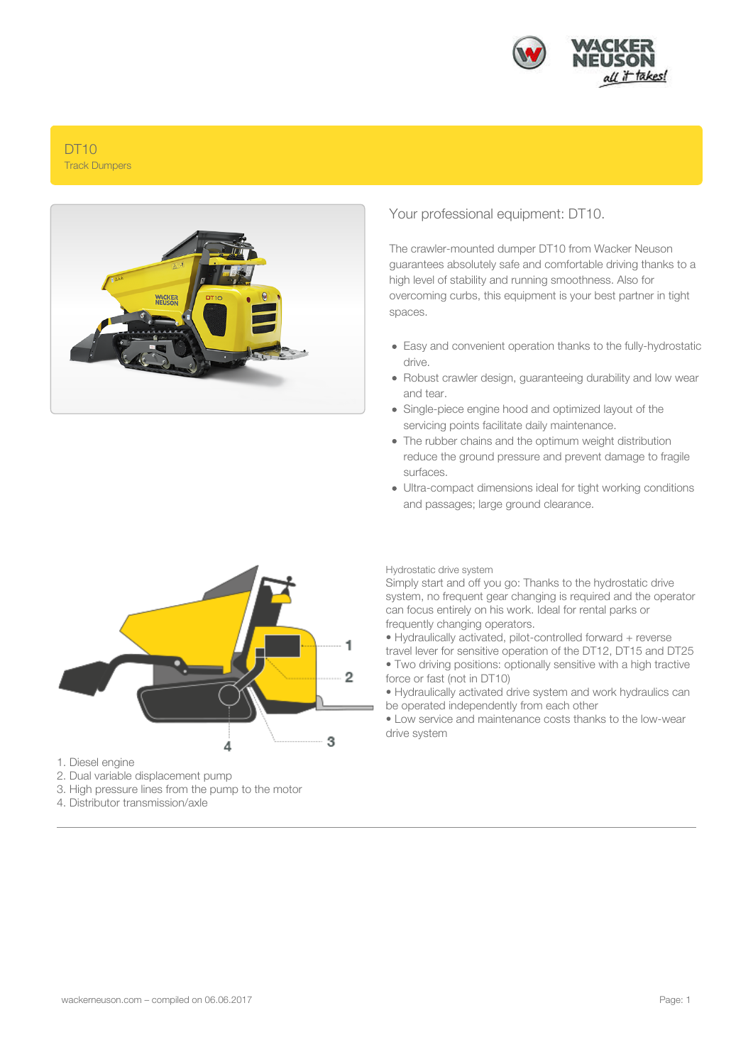

# DT10 Track Dumpers



## Your professional equipment: DT10.

The crawler-mounted dumper DT10 from Wacker Neuson guarantees absolutely safe and comfortable driving thanks to a high level of stability and running smoothness. Also for overcoming curbs, this equipment is your best partner in tight spaces.

- Easy and convenient operation thanks to the fully-hydrostatic drive.
- Robust crawler design, guaranteeing durability and low wear and tear.
- Single-piece engine hood and optimized layout of the servicing points facilitate daily maintenance.
- The rubber chains and the optimum weight distribution reduce the ground pressure and prevent damage to fragile surfaces.
- Ultra-compact dimensions ideal for tight working conditions and passages; large ground clearance.



- 1. Diesel engine
- 2. Dual variable displacement pump
- 3. High pressure lines from the pump to the motor
- 4. Distributor transmission/axle

Hydrostatic drive system

Simply start and off you go: Thanks to the hydrostatic drive system, no frequent gear changing is required and the operator can focus entirely on his work. Ideal for rental parks or frequently changing operators.

• Hydraulically activated, pilot-controlled forward + reverse travel lever for sensitive operation of the DT12, DT15 and DT25 • Two driving positions: optionally sensitive with a high tractive force or fast (not in DT10)

• Hydraulically activated drive system and work hydraulics can be operated independently from each other

• Low service and maintenance costs thanks to the low-wear drive system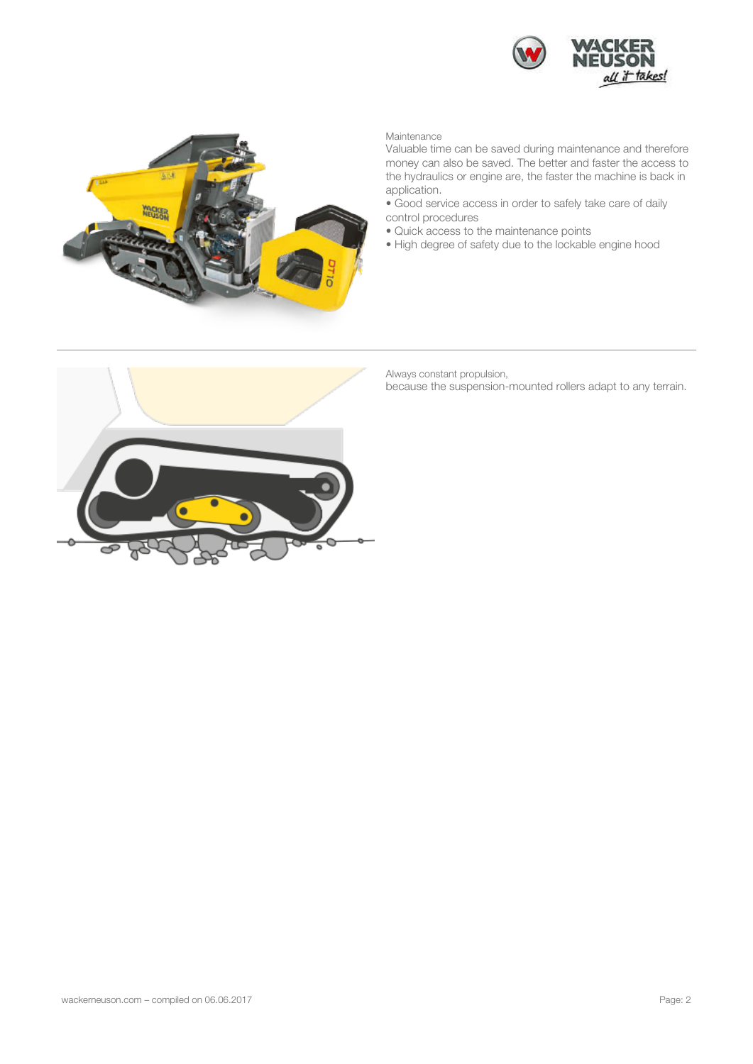



Maintenance

Valuable time can be saved during maintenance and therefore money can also be saved. The better and faster the access to the hydraulics or engine are, the faster the machine is back in application.

- Good service access in order to safely take care of daily control procedures
- Quick access to the maintenance points
- High degree of safety due to the lockable engine hood



Always constant propulsion,

because the suspension-mounted rollers adapt to any terrain.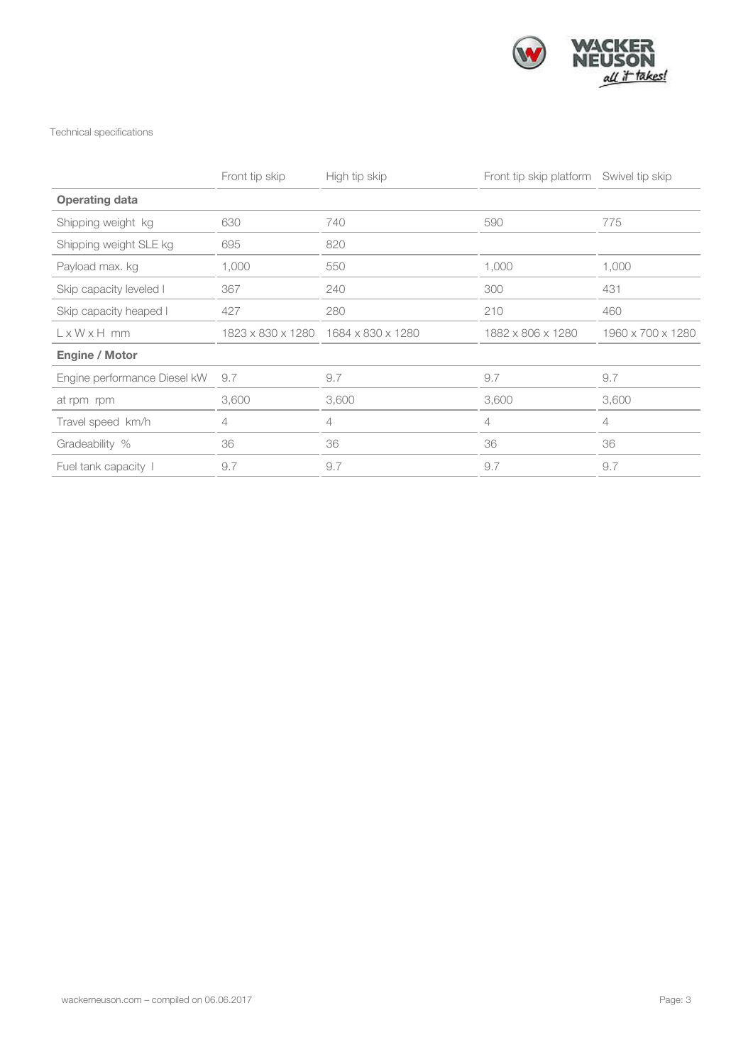

### Technical specifications

|                              | Front tip skip | High tip skip                       | Front tip skip platform Swivel tip skip |                   |
|------------------------------|----------------|-------------------------------------|-----------------------------------------|-------------------|
| <b>Operating data</b>        |                |                                     |                                         |                   |
| Shipping weight kg           | 630            | 740                                 | 590                                     | 775               |
| Shipping weight SLE kg       | 695            | 820                                 |                                         |                   |
| Payload max. kg              | 1,000          | 550                                 | 1,000                                   | 1,000             |
| Skip capacity leveled I      | 367            | 240                                 | 300                                     | 431               |
| Skip capacity heaped I       | 427            | 280                                 | 210                                     | 460               |
| $L \times W \times H$ mm     |                | 1823 x 830 x 1280 1684 x 830 x 1280 | 1882 x 806 x 1280                       | 1960 x 700 x 1280 |
| <b>Engine / Motor</b>        |                |                                     |                                         |                   |
| Engine performance Diesel kW | 9.7            | 9.7                                 | 9.7                                     | 9.7               |
| at rpm rpm                   | 3,600          | 3,600                               | 3,600                                   | 3,600             |
| Travel speed km/h            | 4              | 4                                   | 4                                       | 4                 |
| Gradeability %               | 36             | 36                                  | 36                                      | 36                |
| Fuel tank capacity 1         | 9.7            | 9.7                                 | 9.7                                     | 9.7               |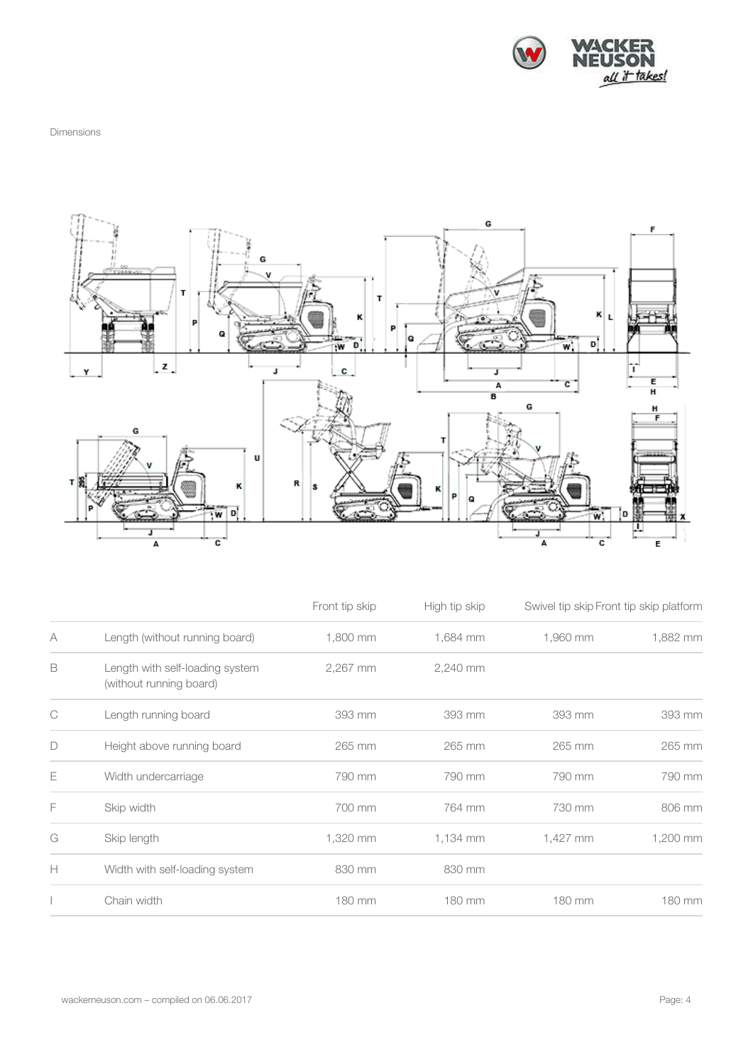

#### Dimensions



|   |                                                            | Front tip skip<br>1,800 mm | High tip skip | Swivel tip skip Front tip skip platform |          |
|---|------------------------------------------------------------|----------------------------|---------------|-----------------------------------------|----------|
| A | Length (without running board)                             |                            | 1,684 mm      | 1,960 mm                                | 1,882 mm |
| B | Length with self-loading system<br>(without running board) | 2,267 mm                   | 2,240 mm      |                                         |          |
| C | Length running board                                       | 393 mm                     | 393 mm        | 393 mm                                  | 393 mm   |
| D | Height above running board                                 | 265 mm                     | 265 mm        | 265 mm                                  | 265 mm   |
| Е | Width undercarriage                                        | 790 mm                     | 790 mm        | 790 mm                                  | 790 mm   |
| F | Skip width                                                 | 700 mm                     | 764 mm        | 730 mm                                  | 806 mm   |
| G | Skip length                                                | 1,320 mm                   | 1,134 mm      | 1,427 mm                                | 1,200 mm |
| Н | Width with self-loading system                             | 830 mm                     | 830 mm        |                                         |          |
|   | Chain width                                                | 180 mm                     | 180 mm        | 180 mm                                  | 180 mm   |